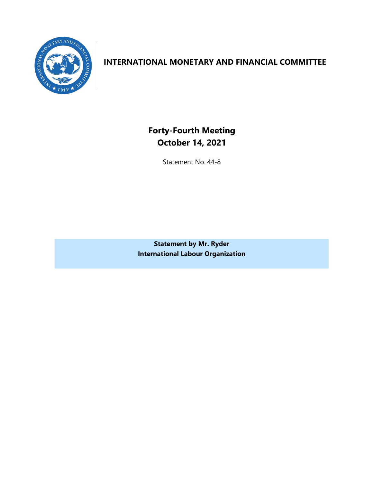

### **INTERNATIONAL MONETARY AND FINANCIAL COMMITTEE**

**Forty-Fourth Meeting October 14, 2021**

Statement No. 44-8

**Statement by Mr. Ryder International Labour Organization**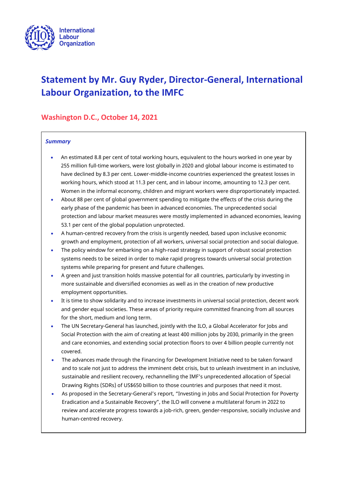

# **Statement by Mr. Guy Ryder, Director-General, International Labour Organization, to the IMFC**

### **Washington D.C., October 14, 2021**

#### *Summary*

- An estimated 8.8 per cent of total working hours, equivalent to the hours worked in one year by 255 million full-time workers, were lost globally in 2020 and global labour income is estimated to have declined by 8.3 per cent. Lower-middle-income countries experienced the greatest losses in working hours, which stood at 11.3 per cent, and in labour income, amounting to 12.3 per cent. Women in the informal economy, children and migrant workers were disproportionately impacted.
- About 88 per cent of global government spending to mitigate the effects of the crisis during the early phase of the pandemic has been in advanced economies. The unprecedented social protection and labour market measures were mostly implemented in advanced economies, leaving 53.1 per cent of the global population unprotected.
- A human-centred recovery from the crisis is urgently needed, based upon inclusive economic growth and employment, protection of all workers, universal social protection and social dialogue.
- The policy window for embarking on a high-road strategy in support of robust social protection systems needs to be seized in order to make rapid progress towards universal social protection systems while preparing for present and future challenges.
- A green and just transition holds massive potential for all countries, particularly by investing in more sustainable and diversified economies as well as in the creation of new productive employment opportunities.
- It is time to show solidarity and to increase investments in universal social protection, decent work and gender equal societies. These areas of priority require committed financing from all sources for the short, medium and long term.
- The UN Secretary-General has launched, jointly with the ILO, a Global Accelerator for Jobs and Social Protection with the aim of creating at least 400 million jobs by 2030, primarily in the green and care economies, and extending social protection floors to over 4 billion people currently not covered.
- The advances made through the Financing for Development Initiative need to be taken forward and to scale not just to address the imminent debt crisis, but to unleash investment in an inclusive, sustainable and resilient recovery, rechannelling the IMF's unprecedented allocation of Special Drawing Rights (SDRs) of US\$650 billion to those countries and purposes that need it most.
- As proposed in the Secretary-General's report, "Investing in Jobs and Social Protection for Poverty Eradication and a Sustainable Recovery", the ILO will convene a multilateral forum in 2022 to review and accelerate progress towards a job-rich, green, gender-responsive, socially inclusive and human-centred recovery.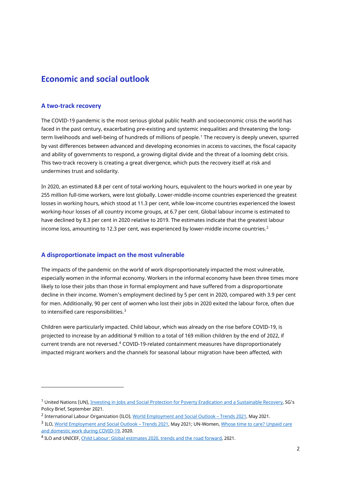## **Economic and social outlook**

#### **A two-track recovery**

The COVID-19 pandemic is the most serious global public health and socioeconomic crisis the world has faced in the past century, exacerbating pre-existing and systemic inequalities and threatening the longterm livelihoods and well-being of hundreds of millions of people.[1](#page-3-0) The recovery is deeply uneven, spurred by vast differences between advanced and developing economies in access to vaccines, the fiscal capacity and ability of governments to respond, a growing digital divide and the threat of a looming debt crisis. This two-track recovery is creating a great divergence, which puts the recovery itself at risk and undermines trust and solidarity.

In 2020, an estimated 8.8 per cent of total working hours, equivalent to the hours worked in one year by 255 million full-time workers, were lost globally. Lower-middle-income countries experienced the greatest losses in working hours, which stood at 11.3 per cent, while low-income countries experienced the lowest working-hour losses of all country income groups, at 6.7 per cent. Global labour income is estimated to have declined by 8.3 per cent in 2020 relative to 2019. The estimates indicate that the greatest labour income loss, amounting to 1[2](#page-3-1).3 per cent, was experienced by lower-middle income countries.<sup>2</sup>

#### **A disproportionate impact on the most vulnerable**

The impacts of the pandemic on the world of work disproportionately impacted the most vulnerable, especially women in the informal economy. Workers in the informal economy have been three times more likely to lose their jobs than those in formal employment and have suffered from a disproportionate decline in their income. Women's employment declined by 5 per cent in 2020, compared with 3.9 per cent for men. Additionally, 90 per cent of women who lost their jobs in 2020 exited the labour force, often due to intensified care responsibilities.<sup>[3](#page-3-2)</sup>

Children were particularly impacted. Child labour, which was already on the rise before COVID-19, is projected to increase by an additional 9 million to a total of 169 million children by the end of 2022, if current trends are not reversed.<sup>[4](#page-3-3)</sup> COVID-19-related containment measures have disproportionately impacted migrant workers and the channels for seasonal labour migration have been affected, with

<span id="page-3-0"></span><sup>&</sup>lt;sup>1</sup> United Nations (UN), [Investing in Jobs and Social Protection for Poverty Eradication and a Sustainable Recovery,](https://www.un.org/sites/un2.un.org/files/sg_policy_brief_on_jobs_and_social_protection_sept_2021.pdf) SG's Policy Brief, September 2021.

<span id="page-3-1"></span><sup>&</sup>lt;sup>2</sup> International Labour Organization (ILO)[, World Employment and Social Outlook –](https://www.ilo.org/global/research/global-reports/weso/trends2021/WCMS_795453/lang--en/index.htm) Trends 2021, May 2021.

<span id="page-3-2"></span><sup>3</sup> ILO[, World Employment and Social Outlook –](https://www.ilo.org/global/research/global-reports/weso/trends2021/WCMS_795453/lang--en/index.htm) Trends 2021, May 2021; UN-Women, Whose time [to care? Unpaid care](https://data.unwomen.org/sites/default/files/inline-files/Whose-time-to-care-brief_0.pdf)  [and domestic work during COVID-19,](https://data.unwomen.org/sites/default/files/inline-files/Whose-time-to-care-brief_0.pdf) 2020.

<span id="page-3-3"></span><sup>4</sup> ILO and UNICEF[, Child Labour: Global estimates 2020, trends and the road forward,](https://www.ilo.org/ipec/Informationresources/WCMS_797515/lang--en/index.htm) 2021.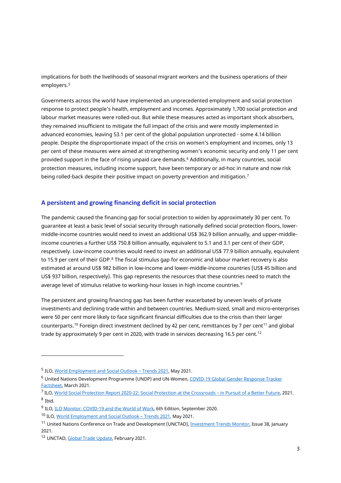implications for both the livelihoods of seasonal migrant workers and the business operations of their employers.<sup>[5](#page-4-0)</sup>

Governments across the world have implemented an unprecedented employment and social protection response to protect people's health, employment and incomes. Approximately 1,700 social protection and labour market measures were rolled-out. But while these measures acted as important shock absorbers, they remained insufficient to mitigate the full impact of the crisis and were mostly implemented in advanced economies, leaving 53.1 per cent of the global population unprotected - some 4.14 billion people. Despite the disproportionate impact of the crisis on women's employment and incomes, only 13 per cent of these measures were aimed at strengthening women's economic security and only 11 per cent provided support in the face of rising unpaid care demands.[6](#page-4-1) Additionally, in many countries, social protection measures, including income support, have been temporary or ad-hoc in nature and now risk being rolled-back despite their positive impact on poverty prevention and mitigation.<sup>[7](#page-4-2)</sup>

#### **A persistent and growing financing deficit in social protection**

The pandemic caused the financing gap for social protection to widen by approximately 30 per cent. To guarantee at least a basic level of social security through nationally defined social protection floors, lowermiddle-income countries would need to invest an additional US\$ 362.9 billion annually, and upper-middleincome countries a further US\$ 750.8 billion annually, equivalent to 5.1 and 3.1 per cent of their GDP, respectively. Low-income countries would need to invest an additional US\$ 77.9 billion annually, equivalent to 15.9 per cent of their GDP.<sup>[8](#page-4-3)</sup> The fiscal stimulus gap for economic and labour market recovery is also estimated at around US\$ 982 billion in low-income and lower-middle-income countries (US\$ 45 billion and US\$ 937 billion, respectively). This gap represents the resources that these countries need to match the average level of stimulus relative to working-hour losses in high income countries.<sup>[9](#page-4-4)</sup>

The persistent and growing financing gap has been further exacerbated by uneven levels of private investments and declining trade within and between countries. Medium-sized, small and micro-enterprises were 50 per cent more likely to face significant financial difficulties due to the crisis than their larger counterparts.<sup>[10](#page-4-5)</sup> Foreign direct investment declined by 42 per cent, remittances by 7 per cent<sup>[11](#page-4-6)</sup> and global trade by approximately 9 per cent in 2020, with trade in services decreasing 16.5 per cent.<sup>[12](#page-4-7)</sup>

<span id="page-4-0"></span><sup>5</sup> ILO[, World Employment and Social Outlook –](https://www.ilo.org/global/research/global-reports/weso/trends2021/WCMS_795453/lang--en/index.htm) Trends 2021, May 2021.

<span id="page-4-1"></span><sup>6</sup> United Nations Development Programme (UNDP) and UN-Women[, COVID-19 Global Gender Response Tracker](https://data.unwomen.org/sites/default/files/documents/Publications/UNDP-UNWomen-COVID19-Tracker-Factsheet-1.pdf)  [Factsheet,](https://data.unwomen.org/sites/default/files/documents/Publications/UNDP-UNWomen-COVID19-Tracker-Factsheet-1.pdf) March 2021.

<span id="page-4-3"></span><span id="page-4-2"></span><sup>7</sup> ILO, [World Social Protection Report 2020-22: Social Protection at the Crossroads –](https://www.ilo.org/wcmsp5/groups/public/@dgreports/@dcomm/@publ/documents/publication/wcms_817572.pdf) in Pursuit of a Better Future, 2021. <sup>8</sup> Ibid.

<span id="page-4-4"></span><sup>&</sup>lt;sup>9</sup> ILO, ILO Monitor: [COVID-19 and the World of Work,](https://www.ilo.org/global/topics/coronavirus/impacts-and-responses/WCMS_755910/lang--en/index.htm) 6th Edition, September 2020.

<span id="page-4-5"></span><sup>10</sup> ILO[, World Employment and Social Outlook –](https://www.ilo.org/global/research/global-reports/weso/trends2021/WCMS_795453/lang--en/index.htm) Trends 2021, May 2021.

<span id="page-4-6"></span><sup>&</sup>lt;sup>11</sup> United Nations Conference on Trade and Development (UNCTAD), *Investment Trends Monitor*, Issue 38, January 2021.

<span id="page-4-7"></span><sup>12</sup> UNCTAD[, Global Trade Update,](https://unctad.org/system/files/official-document/ditcinf2021d1_en.pdf) February 2021.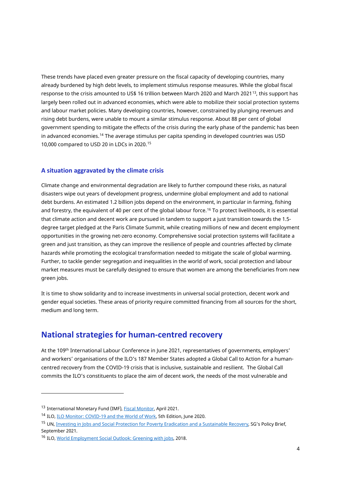These trends have placed even greater pressure on the fiscal capacity of developing countries, many already burdened by high debt levels, to implement stimulus response measures. While the global fiscal response to the crisis amounted to US\$ 16 trillion between March 2020 and March 2021[13](#page-5-0), this support has largely been rolled out in advanced economies, which were able to mobilize their social protection systems and labour market policies. Many developing countries, however, constrained by plunging revenues and rising debt burdens, were unable to mount a similar stimulus response. About 88 per cent of global government spending to mitigate the effects of the crisis during the early phase of the pandemic has been in advanced economies.[14](#page-5-1) The average stimulus per capita spending in developed countries was USD 10,000 compared to USD 20 in LDCs in 2020.[15](#page-5-2)

#### **A situation aggravated by the climate crisis**

Climate change and environmental degradation are likely to further compound these risks, as natural disasters wipe out years of development progress, undermine global employment and add to national debt burdens. An estimated 1.2 billion jobs depend on the environment, in particular in farming, fishing and forestry, the equivalent of 40 per cent of the global labour force.<sup>[16](#page-5-3)</sup> To protect livelihoods, it is essential that climate action and decent work are pursued in tandem to support a just transition towards the 1.5 degree target pledged at the Paris Climate Summit, while creating millions of new and decent employment opportunities in the growing net-zero economy. Comprehensive social protection systems will facilitate a green and just transition, as they can improve the resilience of people and countries affected by climate hazards while promoting the ecological transformation needed to mitigate the scale of global warming. Further, to tackle gender segregation and inequalities in the world of work, social protection and labour market measures must be carefully designed to ensure that women are among the beneficiaries from new green jobs.

It is time to show solidarity and to increase investments in universal social protection, decent work and gender equal societies. These areas of priority require committed financing from all sources for the short, medium and long term.

### **National strategies for human-centred recovery**

At the 109th International Labour Conference in June 2021, representatives of governments, employers' and workers' organisations of the ILO's 187 Member States adopted a Global Call to Action for a humancentred recovery from the COVID-19 crisis that is inclusive, sustainable and resilient. The Global Call commits the ILO's constituents to place the aim of decent work, the needs of the most vulnerable and

<span id="page-5-0"></span><sup>13</sup> International Monetary Fund (IMF), [Fiscal Monitor,](https://www.imf.org/en/Publications/FM/Issues/2021/03/29/fiscal-monitor-april-2021#Full%20Report) April 2021.

<span id="page-5-1"></span><sup>14</sup> ILO, ILO Monitor: [COVID-19 and the World of Work,](https://www.ilo.org/wcmsp5/groups/public/---dgreports/---dcomm/documents/briefingnote/wcms_749399.pdf) 5th Edition, June 2020.

<span id="page-5-2"></span><sup>15</sup> UN, [Investing in Jobs and Social Protection for Poverty Eradication and a Sustainable Recovery,](https://www.un.org/sites/un2.un.org/files/sg_policy_brief_on_jobs_and_social_protection_sept_2021.pdf) SG's Policy Brief, September 2021.

<span id="page-5-3"></span><sup>16</sup> ILO[, World Employment Social Outlook: Greening with jobs,](https://www.ilo.org/wcmsp5/groups/public/---dgreports/---dcomm/---publ/documents/publication/wcms_628654.pdf) 2018.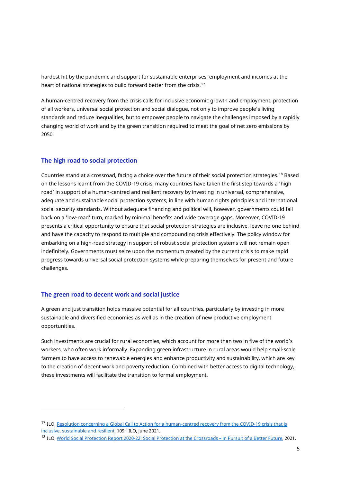hardest hit by the pandemic and support for sustainable enterprises, employment and incomes at the heart of national strategies to build forward better from the crisis.<sup>[17](#page-6-0)</sup>

A human-centred recovery from the crisis calls for inclusive economic growth and employment, protection of all workers, universal social protection and social dialogue, not only to improve people's living standards and reduce inequalities, but to empower people to navigate the challenges imposed by a rapidly changing world of work and by the green transition required to meet the goal of net zero emissions by 2050.

#### **The high road to social protection**

Countries stand at a crossroad, facing a choice over the future of their social protection strategies.[18](#page-6-1) Based on the lessons learnt from the COVID-19 crisis, many countries have taken the first step towards a 'high road' in support of a human-centred and resilient recovery by investing in universal, comprehensive, adequate and sustainable social protection systems, in line with human rights principles and international social security standards. Without adequate financing and political will, however, governments could fall back on a 'low-road' turn, marked by minimal benefits and wide coverage gaps. Moreover, COVID-19 presents a critical opportunity to ensure that social protection strategies are inclusive, leave no one behind and have the capacity to respond to multiple and compounding crisis effectively. The policy window for embarking on a high-road strategy in support of robust social protection systems will not remain open indefinitely. Governments must seize upon the momentum created by the current crisis to make rapid progress towards universal social protection systems while preparing themselves for present and future challenges.

#### **The green road to decent work and social justice**

A green and just transition holds massive potential for all countries, particularly by investing in more sustainable and diversified economies as well as in the creation of new productive employment opportunities.

Such investments are crucial for rural economies, which account for more than two in five of the world's workers, who often work informally. Expanding green infrastructure in rural areas would help small-scale farmers to have access to renewable energies and enhance productivity and sustainability, which are key to the creation of decent work and poverty reduction. Combined with better access to digital technology, these investments will facilitate the transition to formal employment.

<span id="page-6-0"></span><sup>17</sup> ILO[, Resolution concerning a Global Call to Action for a human-centred recovery from the COVID-19 crisis that is](https://www.ilo.org/wcmsp5/groups/public/---ed_norm/---relconf/documents/meetingdocument/wcms_806092.pdf)  [inclusive, sustainable and resilient,](https://www.ilo.org/wcmsp5/groups/public/---ed_norm/---relconf/documents/meetingdocument/wcms_806092.pdf) 109<sup>th</sup> ILO, June 2021.

<span id="page-6-1"></span><sup>18</sup> ILO[, World Social Protection Report 2020-22: Social Protection at the Crossroads –](https://www.ilo.org/wcmsp5/groups/public/@dgreports/@dcomm/@publ/documents/publication/wcms_817572.pdf) in Pursuit of a Better Future, 2021.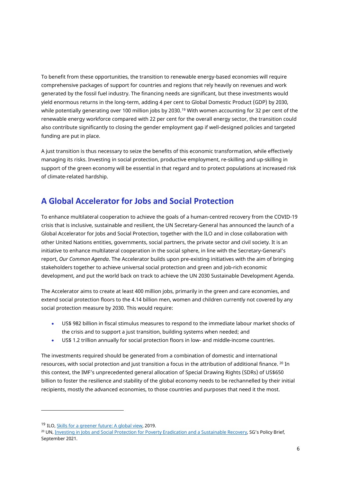To benefit from these opportunities, the transition to renewable energy-based economies will require comprehensive packages of support for countries and regions that rely heavily on revenues and work generated by the fossil fuel industry. The financing needs are significant, but these investments would yield enormous returns in the long-term, adding 4 per cent to Global Domestic Product (GDP) by 2030, while potentially generating over 100 million jobs by 2030. [19](#page-7-0) With women accounting for 32 per cent of the renewable energy workforce compared with 22 per cent for the overall energy sector, the transition could also contribute significantly to closing the gender employment gap if well-designed policies and targeted funding are put in place.

A just transition is thus necessary to seize the benefits of this economic transformation, while effectively managing its risks. Investing in social protection, productive employment, re-skilling and up-skilling in support of the green economy will be essential in that regard and to protect populations at increased risk of climate-related hardship.

# **A Global Accelerator for Jobs and Social Protection**

To enhance multilateral cooperation to achieve the goals of a human-centred recovery from the COVID-19 crisis that is inclusive, sustainable and resilient, the UN Secretary-General has announced the launch of a Global Accelerator for Jobs and Social Protection, together with the ILO and in close collaboration with other United Nations entities, governments, social partners, the private sector and civil society. It is an initiative to enhance multilateral cooperation in the social sphere, in line with the Secretary-General's report, *Our Common Agenda*. The Accelerator builds upon pre-existing initiatives with the aim of bringing stakeholders together to achieve universal social protection and green and job-rich economic development, and put the world back on track to achieve the UN 2030 Sustainable Development Agenda.

The Accelerator aims to create at least 400 million jobs, primarily in the green and care economies, and extend social protection floors to the 4.14 billion men, women and children currently not covered by any social protection measure by 2030. This would require:

- US\$ 982 billion in fiscal stimulus measures to respond to the immediate labour market shocks of the crisis and to support a just transition, building systems when needed; and
- US\$ 1.2 trillion annually for social protection floors in low- and middle-income countries.

The investments required should be generated from a combination of domestic and international resources, with social protection and just transition a focus in the attribution of additional finance. [20](#page-7-1) In this context, the IMF's unprecedented general allocation of Special Drawing Rights (SDRs) of US\$650 billion to foster the resilience and stability of the global economy needs to be rechannelled by their initial recipients, mostly the advanced economies, to those countries and purposes that need it the most.

<span id="page-7-0"></span><sup>19</sup> ILO[, Skills for a greener future: A global view,](https://www.ilo.org/wcmsp5/groups/public/---ed_emp/documents/publication/wcms_732214.pdf) 2019.

<span id="page-7-1"></span><sup>&</sup>lt;sup>20</sup> UN[, Investing in Jobs and Social Protection for Poverty Eradication and a Sustainable Recovery,](https://www.un.org/sites/un2.un.org/files/sg_policy_brief_on_jobs_and_social_protection_sept_2021.pdf) SG's Policy Brief, September 2021.